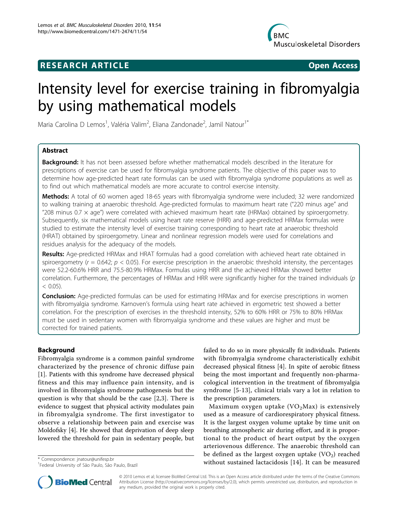# RESEARCH ARTICLE **External in the Contract Open Access**



# Intensity level for exercise training in fibromyalgia by using mathematical models

Maria Carolina D Lemos<sup>1</sup>, Valéria Valim<sup>2</sup>, Eliana Zandonade<sup>2</sup>, Jamil Natour<sup>1\*</sup>

# Abstract

**Background:** It has not been assessed before whether mathematical models described in the literature for prescriptions of exercise can be used for fibromyalgia syndrome patients. The objective of this paper was to determine how age-predicted heart rate formulas can be used with fibromyalgia syndrome populations as well as to find out which mathematical models are more accurate to control exercise intensity.

Methods: A total of 60 women aged 18-65 years with fibromyalgia syndrome were included; 32 were randomized to walking training at anaerobic threshold. Age-predicted formulas to maximum heart rate ("220 minus age" and "208 minus 0.7  $\times$  age") were correlated with achieved maximum heart rate (HRMax) obtained by spiroergometry. Subsequently, six mathematical models using heart rate reserve (HRR) and age-predicted HRMax formulas were studied to estimate the intensity level of exercise training corresponding to heart rate at anaerobic threshold (HRAT) obtained by spiroergometry. Linear and nonlinear regression models were used for correlations and residues analysis for the adequacy of the models.

**Results:** Age-predicted HRMax and HRAT formulas had a good correlation with achieved heart rate obtained in spiroergometry ( $r = 0.642$ ;  $p < 0.05$ ). For exercise prescription in the anaerobic threshold intensity, the percentages were 52.2-60.6% HRR and 75.5-80.9% HRMax. Formulas using HRR and the achieved HRMax showed better correlation. Furthermore, the percentages of HRMax and HRR were significantly higher for the trained individuals (p  $< 0.05$ ).

**Conclusion:** Age-predicted formulas can be used for estimating HRMax and for exercise prescriptions in women with fibromyalgia syndrome. Karnoven's formula using heart rate achieved in ergometric test showed a better correlation. For the prescription of exercises in the threshold intensity, 52% to 60% HRR or 75% to 80% HRMax must be used in sedentary women with fibromyalgia syndrome and these values are higher and must be corrected for trained patients.

# Background

Fibromyalgia syndrome is a common painful syndrome characterized by the presence of chronic diffuse pain [[1\]](#page-4-0). Patients with this syndrome have decreased physical fitness and this may influence pain intensity, and is involved in fibromyalgia syndrome pathogenesis but the question is why that should be the case [[2,3](#page-4-0)]. There is evidence to suggest that physical activity modulates pain in fibromyalgia syndrome. The first investigator to observe a relationship between pain and exercise was Moldofsky [[4\]](#page-4-0). He showed that deprivation of deep sleep lowered the threshold for pain in sedentary people, but

failed to do so in more physically fit individuals. Patients with fibromyalgia syndrome characteristically exhibit decreased physical fitness [\[4](#page-4-0)]. In spite of aerobic fitness being the most important and frequently non-pharmacological intervention in the treatment of fibromyalgia syndrome [[5-13\]](#page-4-0), clinical trials vary a lot in relation to the prescription parameters.

Maximum oxygen uptake  $(VO<sub>2</sub>Max)$  is extensively used as a measure of cardiorespiratory physical fitness. It is the largest oxygen volume uptake by time unit on breathing atmospheric air during effort, and it is proportional to the product of heart output by the oxygen arteriovenous difference. The anaerobic threshold can be defined as the largest oxygen uptake  $(VO<sub>2</sub>)$  reached \* Correspondence: [jnatour@unifesp.br](mailto:jnatour@unifesp.br)<br><sup>1</sup>Eoderal University of São Paulo, São Paulo, Prazil



© 2010 Lemos et al; licensee BioMed Central Ltd. This is an Open Access article distributed under the terms of the Creative Commons Attribution License [\(http://creativecommons.org/licenses/by/2.0](http://creativecommons.org/licenses/by/2.0)), which permits unrestricted use, distribution, and reproduction in any medium, provided the original work is properly cited.

<sup>1</sup> Federal University of São Paulo, São Paulo, Brazil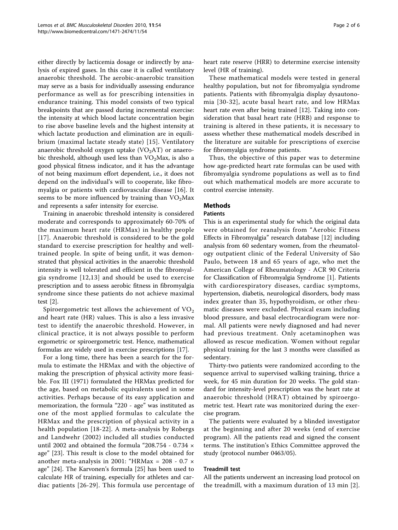either directly by lacticemia dosage or indirectly by analysis of expired gases. In this case it is called ventilatory anaerobic threshold. The aerobic-anaerobic transition may serve as a basis for individually assessing endurance performance as well as for prescribing intensities in endurance training. This model consists of two typical breakpoints that are passed during incremental exercise: the intensity at which blood lactate concentration begin to rise above baseline levels and the highest intensity at which lactate production and elimination are in equilibrium (maximal lactate steady state) [[15](#page-4-0)]. Ventilatory anaerobic threshold oxygen uptake  $(VO<sub>2</sub>AT)$  or anaerobic threshold, although used less than  $VO<sub>2</sub>Max$ , is also a good physical fitness indicator, and it has the advantage of not being maximum effort dependent, i.e., it does not depend on the individual's will to cooperate, like fibromyalgia or patients with cardiovascular disease [[16\]](#page-4-0). It seems to be more influenced by training than  $VO<sub>2</sub>Max$ and represents a safer intensity for exercise.

Training in anaerobic threshold intensity is considered moderate and corresponds to approximately 60-70% of the maximum heart rate (HRMax) in healthy people [[17](#page-4-0)]. Anaerobic threshold is considered to be the gold standard to exercise prescription for healthy and welltrained people. In spite of being unfit, it was demonstrated that physical activities in the anaerobic threshold intensity is well tolerated and efficient in the fibromyalgia syndrome [[12](#page-4-0),[13](#page-4-0)] and should be used to exercise prescription and to assess aerobic fitness in fibromyalgia syndrome since these patients do not achieve maximal test [[2](#page-4-0)].

Spiroergometric test allows the achievement of  $VO<sub>2</sub>$ and heart rate (HR) values. This is also a less invasive test to identify the anaerobic threshold. However, in clinical practice, it is not always possible to perform ergometric or spiroergometric test. Hence, mathematical formulas are widely used in exercise prescriptions [[17\]](#page-4-0).

For a long time, there has been a search for the formula to estimate the HRMax and with the objective of making the prescription of physical activity more feasible. Fox III (1971) formulated the HRMax predicted for the age, based on metabolic equivalents used in some activities. Perhaps because of its easy application and memorization, the formula "220 - age" was instituted as one of the most applied formulas to calculate the HRMax and the prescription of physical activity in a health population [[18](#page-4-0)-[22\]](#page-5-0). A meta-analysis by Robergs and Landwehr (2002) included all studies conducted until 2002 and obtained the formula "208.754 - 0.734 × age" [[23\]](#page-5-0). This result is close to the model obtained for another meta-analysis in 2001: "HRMax = 208 - 0.7 × age" [\[24\]](#page-5-0). The Karvonen's formula [[25\]](#page-5-0) has been used to calculate HR of training, especially for athletes and cardiac patients [\[26-29\]](#page-5-0). This formula use percentage of heart rate reserve (HRR) to determine exercise intensity level (HR of training).

These mathematical models were tested in general healthy population, but not for fibromyalgia syndrome patients. Patients with fibromyalgia display dysautonomia [[30-32](#page-5-0)], acute basal heart rate, and low HRMax heart rate even after being trained [\[12\]](#page-4-0). Taking into consideration that basal heart rate (HRB) and response to training is altered in these patients, it is necessary to assess whether these mathematical models described in the literature are suitable for prescriptions of exercise for fibromyalgia syndrome patients.

Thus, the objective of this paper was to determine how age-predicted heart rate formulas can be used with fibromyalgia syndrome populations as well as to find out which mathematical models are more accurate to control exercise intensity.

#### Methods

#### **Patients**

This is an experimental study for which the original data were obtained for reanalysis from "Aerobic Fitness Effects in Fibromyalgia" research database [\[12](#page-4-0)] including analysis from 60 sedentary women, from the rheumatology outpatient clinic of the Federal University of São Paulo, between 18 and 65 years of age, who met the American College of Rheumatology - ACR 90 Criteria for Classification of Fibromyalgia Syndrome [[1](#page-4-0)]. Patients with cardiorespiratory diseases, cardiac symptoms, hypertension, diabetis, neurological disorders, body mass index greater than 35, hypothyroidism, or other rheumatic diseases were excluded. Physical exam including blood pressure, and basal electrocardiogram were normal. All patients were newly diagnosed and had never had previous treatment. Only acetaminophen was allowed as rescue medication. Women without regular physical training for the last 3 months were classified as sedentary.

Thirty-two patients were randomized according to the sequence arrival to supervised walking training, thrice a week, for 45 min duration for 20 weeks. The gold standard for intensity-level prescription was the heart rate at anaerobic threshold (HRAT) obtained by spiroergometric test. Heart rate was monitorized during the exercise program.

The patients were evaluated by a blinded investigator at the beginning and after 20 weeks (end of exercise program). All the patients read and signed the consent terms. The institution's Ethics Committee approved the study (protocol number 0463/05).

#### Treadmill test

All the patients underwent an increasing load protocol on the treadmill, with a maximum duration of 13 min [[2](#page-4-0)].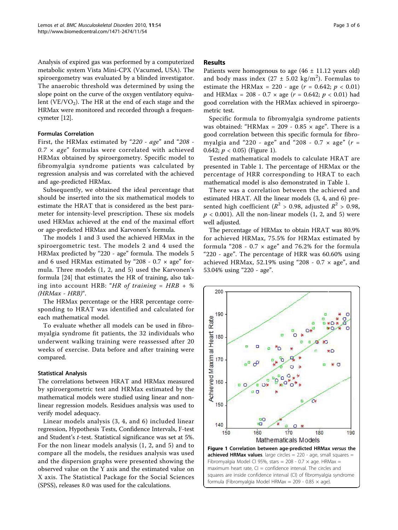Analysis of expired gas was performed by a computerized metabolic system Vista Mini-CPX (Vacumed, USA). The spiroergometry was evaluated by a blinded investigator. The anaerobic threshold was determined by using the slope point on the curve of the oxygen ventilatory equivalent (VE/VO<sub>2</sub>). The HR at the end of each stage and the HRMax were monitored and recorded through a frequencymeter [\[12\]](#page-4-0).

# Formulas Correlation

First, the HRMax estimated by "220 - age" and "208 -  $0.7 \times age$ " formulas were correlated with achieved HRMax obtained by spiroergometry. Specific model to fibromyalgia syndrome patients was calculated by regression analysis and was correlated with the achieved and age-predicted HRMax.

Subsequently, we obtained the ideal percentage that should be inserted into the six mathematical models to estimate the HRAT that is considered as the best parameter for intensity-level prescription. These six models used HRMax achieved at the end of the maximal effort or age-predicted HRMax and Karvonen's formula.

The models 1 and 3 used the achieved HRMax in the spiroergometric test. The models 2 and 4 used the HRMax predicted by "220 - age" formula. The models 5 and 6 used HRMax estimated by "208 - 0.7  $\times$  age" formula. Three models (1, 2, and 5) used the Karvonen's formula [[24](#page-5-0)] that estimates the HR of training, also taking into account HRB: "HR of training =  $HRB + %$  $(HRMax - HRB)^{u}$ .

The HRMax percentage or the HRR percentage corresponding to HRAT was identified and calculated for each mathematical model.

To evaluate whether all models can be used in fibromyalgia syndrome fit patients, the 32 individuals who underwent walking training were reassessed after 20 weeks of exercise. Data before and after training were compared.

# Statistical Analysis

The correlations between HRAT and HRMax measured by spiroergometric test and HRMax estimated by the mathematical models were studied using linear and nonlinear regression models. Residues analysis was used to verify model adequacy.

Linear models analysis (3, 4, and 6) included linear regression, Hypothesis Tests, Confidence Intervals, F-test and Student'<sup>s</sup> t-test. Statistical significance was set at 5%. For the non linear models analysis (1, 2, and 5) and to compare all the models, the residues analysis was used and the dispersion graphs were presented showing the observed value on the Y axis and the estimated value on X axis. The Statistical Package for the Social Sciences (SPSS), releases 8.0 was used for the calculations.

## Results

Patients were homogenous to age  $(46 \pm 11.12 \text{ years old})$ and body mass index  $(27 \pm 5.02 \text{ kg/m}^2)$ . Formulas to estimate the HRMax = 220 - age  $(r = 0.642; p < 0.01)$ and HRMax = 208 - 0.7  $\times$  age ( $r = 0.642$ ;  $p < 0.01$ ) had good correlation with the HRMax achieved in spiroergometric test.

Specific formula to fibromyalgia syndrome patients was obtained: "HRMax =  $209 - 0.85 \times age$ ". There is a good correlation between this specific formula for fibromyalgia and "220 - age" and "208 - 0.7  $\times$  age" ( $r =$ 0.642;  $p < 0.05$ ) (Figure 1).

Tested mathematical models to calculate HRAT are presented in Table [1](#page-3-0). The percentage of HRMax or the percentage of HRR corresponding to HRAT to each mathematical model is also demonstrated in Table [1](#page-3-0).

There was a correlation between the achieved and estimated HRAT. All the linear models (3, 4, and 6) presented high coefficient ( $R^2 > 0.98$ , adjusted  $R^2 > 0.98$ ,  $p < 0.001$ ). All the non-linear models (1, 2, and 5) were well adjusted.

The percentage of HRMax to obtain HRAT was 80.9% for achieved HRMax, 75.5% for HRMax estimated by formula "208 - 0.7  $\times$  age" and 76.2% for the formula "220 - age". The percentage of HRR was 60.60% using achieved HRMax, 52.19% using "208 - 0.7  $\times$  age", and 53.04% using "220 - age".

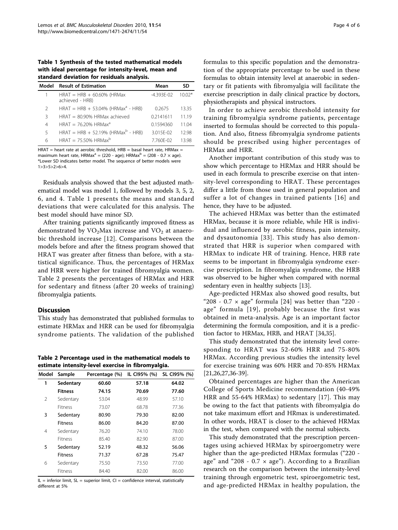<span id="page-3-0"></span>Table 1 Synthesis of the tested mathematical models with ideal percentage for intensity-level, mean and standard deviation for residuals analysis.

| Model         | <b>Result of Estimation</b>                      | Mean           | SD      |
|---------------|--------------------------------------------------|----------------|---------|
|               | $HRAT = HRB + 60.60\%$ (HRMax<br>achieved - HRB) | $-4.393E - 02$ | $1002*$ |
| $\mathcal{P}$ | HRAT = HRB + 53.04% (HRMax <sup>a</sup> - HRB)   | 0.2675         | 13.35   |
| Β             | $HRAT = 80.90\% HRMax$ achieved                  | 0.2141611      | 11.19   |
| 4             | $HRAT = 7620\% HRMax^a$                          | 0.1594360      | 11 04   |
| 5             | HRAT = HRB + 52.19% (HRMax <sup>b</sup> - HRB)   | 3.015F-02      | 12.98   |
| 6             | HRAT = $75.50\%$ HRMax <sup>b</sup>              | 7.760F-02      | 1398    |

 $H + H<sub>AT</sub>$  = heart rate at aerobic threshold,  $H$ RB = basal heart rate,  $H$ RMax = maximum heart rate, HRMax<sup>a</sup> = (220 - age); HRMax<sup>b</sup> = (208 - 0.7  $\times$  age). \*Lower SD indicates better model. The sequence of better models were 1>3>5>2>6>4.

Residuals analysis showed that the best adjusted mathematical model was model 1, followed by models 3, 5, 2, 6, and 4. Table 1 presents the means and standard deviations that were calculated for this analysis. The best model should have minor SD.

After training patients significantly improved fitness as demonstrated by  $VO<sub>2</sub>Max$  increase and  $VO<sub>2</sub>$  at anaerobic threshold increase [[12](#page-4-0)]. Comparisons between the models before and after the fitness program showed that HRAT was greater after fitness than before, with a statistical significance. Thus, the percentages of HRMax and HRR were higher for trained fibromyalgia women. Table 2 presents the percentages of HRMax and HRR for sedentary and fitness (after 20 weeks of training) fibromyalgia patients.

#### Discussion

This study has demonstrated that published formulas to estimate HRMax and HRR can be used for fibromyalgia syndrome patients. The validation of the published

Table 2 Percentage used in the mathematical models to estimate intensity-level exercise in fibromyalgia.

| Model | Sample         | Percentage (%) | IL CI95% (%) | SL CI95% (%) |
|-------|----------------|----------------|--------------|--------------|
| 1     | Sedentary      | 60.60          | 57.18        | 64.02        |
|       | <b>Fitness</b> | 74.15          | 70.69        | 77.60        |
| 2     | Sedentary      | 53.04          | 48.99        | 57.10        |
|       | Fitness        | 73.07          | 68.78        | 77.36        |
| 3     | Sedentary      | 80.90          | 79.30        | 82.00        |
|       | <b>Fitness</b> | 86.00          | 84.20        | 87.00        |
| 4     | Sedentary      | 76.20          | 74.10        | 78.00        |
|       | <b>Fitness</b> | 85.40          | 82.90        | 87.00        |
| 5     | Sedentary      | 52.19          | 48.32        | 56.06        |
|       | <b>Fitness</b> | 71.37          | 67.28        | 75.47        |
| 6     | Sedentary      | 75.50          | 73.50        | 77.00        |
|       | Fitness        | 84.40          | 82.00        | 86.00        |

 $IL = inferior limit, SL = superior limit, CI = confidence interval, statistically$ different at 5%

formulas to this specific population and the demonstration of the appropriate percentage to be used in these formulas to obtain intensity level at anaerobic in sedentary or fit patients with fibromyalgia will facilitate the exercise prescription in daily clinical practice by doctors, physiotherapists and physical instructors.

In order to achieve aerobic threshold intensity for training fibromyalgia syndrome patients, percentage inserted to formulas should be corrected to this population. And also, fitness fibromyalgia syndrome patients should be prescribed using higher percentages of HRMax and HRR.

Another important contribution of this study was to show which percentage to HRMax and HRR should be used in each formula to prescribe exercise on that intensity-level corresponding to HRAT. These percentages differ a little from those used in general population and suffer a lot of changes in trained patients [[16](#page-4-0)] and hence, they have to be adjusted.

The achieved HRMax was better than the estimated HRMax, because it is more reliable, while HR is individual and influenced by aerobic fitness, pain intensity, and dysautonomia [[33](#page-5-0)]. This study has also demonstrated that HRR is superior when compared with HRMax to indicate HR of training. Hence, HRB rate seems to be important in fibromyalgia syndrome exercise prescription. In fibromyalgia syndrome, the HRB was observed to be higher when compared with normal sedentary even in healthy subjects [[13\]](#page-4-0).

Age-predicted HRMax also showed good results, but "208 - 0.7  $\times$  age" formula [\[24\]](#page-5-0) was better than "220 age" formula [[19\]](#page-4-0), probably because the first was obtained in meta-analysis. Age is an important factor determining the formula composition, and it is a prediction factor to HRMax, HRB, and HRAT [[34,35](#page-5-0)].

This study demonstrated that the intensity level corresponding to HRAT was 52-60% HRR and 75-80% HRMax. According previous studies the intensity level for exercise training was 60% HRR and 70-85% HRMax [[21,](#page-4-0)[26,27](#page-5-0),[36](#page-5-0)-[39\]](#page-5-0).

Obtained percentages are higher than the American College of Sports Medicine recommendation (40-49% HRR and 55-64% HRMax) to sedentary [[17](#page-4-0)]. This may be owing to the fact that patients with fibromyalgia do not take maximum effort and HRmax is underestimated. In other words, HRAT is closer to the achieved HRMax in the test, when compared with the normal subjects.

This study demonstrated that the prescription percentages using achieved HRMax by spiroergometry were higher than the age-predicted HRMax formulas ("220 age" and "208 - 0.7  $\times$  age"). According to a Brazilian research on the comparison between the intensity-level training through ergometric test, spiroergometric test, and age-predicted HRMax in healthy population, the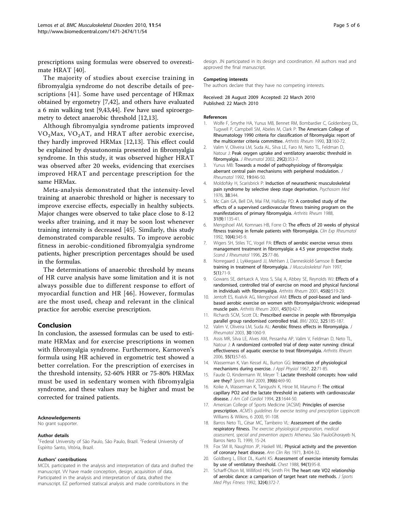<span id="page-4-0"></span>prescriptions using formulas were observed to overestimate HRAT [\[40](#page-5-0)].

The majority of studies about exercise training in fibromyalgia syndrome do not describe details of prescriptions [[41](#page-5-0)]. Some have used percentage of HRmax obtained by ergometry [7,[42\]](#page-5-0), and others have evaluated a 6 min walking test [9,[43,44\]](#page-5-0). Few have used spiroergometry to detect anaerobic threshold [12,13].

Although fibromyalgia syndrome patients improved  $VO<sub>2</sub>Max, VO<sub>2</sub>AT, and HRAT after aerobic exercise,$ they hardly improved HRMax [12,13]. This effect could be explained by dysautonomia presented in fibromyalgia syndrome. In this study, it was observed higher HRAT was observed after 20 weeks, evidencing that exercises improved HRAT and percentage prescription for the same HRMax.

Meta-analysis demonstrated that the intensity-level training at anaerobic threshold or higher is necessary to improve exercise effects, especially in healthy subjects. Major changes were observed to take place close to 8-12 weeks after training, and it may be soon lost whenever training intensity is decreased [[45\]](#page-5-0). Similarly, this study demonstrated comparable results. To improve aerobic fitness in aerobic-conditioned fibromyalgia syndrome patients, higher prescription percentages should be used in the formulas.

The determinations of anaerobic threshold by means of HR curve analysis have some limitation and it is not always possible due to different response to effort of myocardial function and HR [[46\]](#page-5-0). However, formulas are the most used, cheap and relevant in the clinical practice for aerobic exercise prescription.

#### Conclusion

In conclusion, the assessed formulas can be used to estimate HRMax and for exercise prescriptions in women with fibromyalgia syndrome. Furthermore, Karnoven's formula using HR achieved in ergometric test showed a better correlation. For the prescription of exercises in the threshold intensity, 52-60% HRR or 75-80% HRMax must be used in sedentary women with fibromyalgia syndrome, and these values may be higher and must be corrected for trained patients.

#### Acknowledgements

No grant supporter.

#### Author details

<sup>1</sup>Federal University of São Paulo, São Paulo, Brazil. <sup>2</sup>Federal University of Espírito Santo, Vitória, Brazil.

#### Authors' contributions

MCDL participated in the analysis and interpretation of data and drafted the manuscript. VV have made conception, design, acquisition of data. Participated in the analysis and interpretation of data, drafted the manuscript. EZ performed statiscal analysis and made contributions in the

#### Competing interests

The authors declare that they have no competing interests.

Received: 28 August 2009 Accepted: 22 March 2010 Published: 22 March 2010

#### References

- 1. Wolfe F, Smythe HA, Yunus MB, Bennet RM, Bombardier C, Goldenberg DL, Tugwell P, Campbell SM, Abeles M, Clark P: [The Americam College of](http://www.ncbi.nlm.nih.gov/pubmed/2306288?dopt=Abstract) [Rheumatology 1990 criteria for classification of fibromyalgia: report of](http://www.ncbi.nlm.nih.gov/pubmed/2306288?dopt=Abstract) [the multicenter criteria committee.](http://www.ncbi.nlm.nih.gov/pubmed/2306288?dopt=Abstract) Arthritis Rheum 1990, 33:160-72.
- 2. Valim V, Oliveira LM, Suda AL, Silva LE, Faro M, Neto TL, Feldman D, Natour J: [Peak oxygen uptake and ventilatory anaerobic threshold in](http://www.ncbi.nlm.nih.gov/pubmed/11842825?dopt=Abstract) [fibromyalgia.](http://www.ncbi.nlm.nih.gov/pubmed/11842825?dopt=Abstract) J Rheumatol 2002, 29(2):353-7.
- 3. Yunus MB: [Towards a model of pathophysiology of fibromyalgia:](http://www.ncbi.nlm.nih.gov/pubmed/1404119?dopt=Abstract) [aberrant central pain mechanisms with peripheral modulation.](http://www.ncbi.nlm.nih.gov/pubmed/1404119?dopt=Abstract) J Rheumatol 1992, 19:846-50.
- 4. Moldofsky H, Scarisbrick P: Induction of neurasthenic musculoskeletal pain syndrome by selective sleep stage deprivation. Psychosom Med 1976, 38:344
- 5. Mc Cain GA, Bell DA, Mai FM, Halliday PD: [A controlled study of the](http://www.ncbi.nlm.nih.gov/pubmed/3048273?dopt=Abstract) [effects of a supervised cardiovascular fitness training program on the](http://www.ncbi.nlm.nih.gov/pubmed/3048273?dopt=Abstract) [manifestations of primary fibromyalgia.](http://www.ncbi.nlm.nih.gov/pubmed/3048273?dopt=Abstract) Arthritis Rheum 1988, 31(9):1135-41.
- 6. Mengshoel AM, Komnaes HB, Forre O: [The effects of 20 weeks of physical](http://www.ncbi.nlm.nih.gov/pubmed/1395219?dopt=Abstract) [fitness training in female patients with fibromyalgia.](http://www.ncbi.nlm.nih.gov/pubmed/1395219?dopt=Abstract) Clin Exp Rheumatol 1992, 10(4):345-9.
- 7. Wigers SH, Stiles TC, Vogel PA: [Effects of aerobic exercise versus stress](http://www.ncbi.nlm.nih.gov/pubmed/8614771?dopt=Abstract) [management treatment in fibromyalgia: a 4.5 year prospective study.](http://www.ncbi.nlm.nih.gov/pubmed/8614771?dopt=Abstract) Scand J Rheumatol 1996, 25:77-86.
- 8. Norregaard J, Lykkegaard JJ, Mehlsen J, Danneskiold-Samsoe B: Exercise training in treatment of fibromyalgia. J Musculoskeletal Pain 1997, 5(1):71-9.
- 9. Gowans SE, deHueck A, Voss S, Silaj A, Abbey SE, Reynolds WJ: [Effects of a](http://www.ncbi.nlm.nih.gov/pubmed/11762686?dopt=Abstract) [randomised, controlled trial of exercise on mood and physical funcional](http://www.ncbi.nlm.nih.gov/pubmed/11762686?dopt=Abstract) [in individuals with fibromyalgia.](http://www.ncbi.nlm.nih.gov/pubmed/11762686?dopt=Abstract) Arthritis Rheum 2001, 45(6):519-29.
- 10. Jentoft ES, Kvalvik AG, Mengshoel AM: [Effects of pool-based and land](http://www.ncbi.nlm.nih.gov/pubmed/11308060?dopt=Abstract)[based aerobic exercise on women with fibromyalgia/chronic widespread](http://www.ncbi.nlm.nih.gov/pubmed/11308060?dopt=Abstract) [muscle pain.](http://www.ncbi.nlm.nih.gov/pubmed/11308060?dopt=Abstract) Arthritis Rheum 2001, 45(1):42-7.
- 11. Richards SCM, Scott DL: [Prescribed exercise in people with fibromyalgia](http://www.ncbi.nlm.nih.gov/pubmed/12142304?dopt=Abstract) [parallel group randomised controlled trial.](http://www.ncbi.nlm.nih.gov/pubmed/12142304?dopt=Abstract) BMJ 2002, 325:185-187.
- 12. Valim V, Oliveira LM, Suda AL: Aerobic fitness effects in fibromvalgia. J Rheumatol 2003, 30:1060-9.
- 13. Assis MR, Silva LE, Alves AM, Pessanha AP, Valim V, Feldman D, Neto TL, Natour J: [A randomized controlled trial of deep water running: clinical](http://www.ncbi.nlm.nih.gov/pubmed/16463414?dopt=Abstract) [effectiveness of aquatic exercise to treat fibromyalgia.](http://www.ncbi.nlm.nih.gov/pubmed/16463414?dopt=Abstract) Arthritis Rheum 2006, 55(1):57-65.
- 14. Wasserman K, Van Kessel AL, Burton GG: [Interaction of physiological](http://www.ncbi.nlm.nih.gov/pubmed/6017656?dopt=Abstract) [mechanisms during exercise.](http://www.ncbi.nlm.nih.gov/pubmed/6017656?dopt=Abstract) J Appl Physiol 1967, 22:71-85.
- 15. Faude O, Kindermann W, Meyer T: [Lactate threshold concepts: how valid](http://www.ncbi.nlm.nih.gov/pubmed/19453206?dopt=Abstract) [are they?](http://www.ncbi.nlm.nih.gov/pubmed/19453206?dopt=Abstract) Sports Med 2009, 39(6):469-90.
- 16. Koike A, Wasserman K, Tanigushi K, Hiroe M, Marumo F: [The critical](http://www.ncbi.nlm.nih.gov/pubmed/8195526?dopt=Abstract) [capillary PO2 and the lactate threshold in patients with cardiovascular](http://www.ncbi.nlm.nih.gov/pubmed/8195526?dopt=Abstract) [disease.](http://www.ncbi.nlm.nih.gov/pubmed/8195526?dopt=Abstract) J Am Coll Cardiol 1994, 23:1644-50.
- 17. American College of Sports Medicine [ACSM]: Principles of exercise prescription. ACMS's guidelines for exercise testing and prescription Lippincott Williams & Wilkins, 6 2000, 91-108.
- 18. Barros Neto TL, César MC, Tambeiro VL: Assessment of the cardio respiratory fitness. The exercise: physiological preparation, medical assessment, special and prevention aspects Atheneu. São PauloGhorayeb N, Barros Neto TL 1999, 15-24.
- 19. Fox SM III, Naughton JP, Haskell WL: [Physical activity and the prevention](http://www.ncbi.nlm.nih.gov/pubmed/4945367?dopt=Abstract) [of coronary heart disease.](http://www.ncbi.nlm.nih.gov/pubmed/4945367?dopt=Abstract) Ann Clin Res 1971, 3:404-32.
- 20. Goldberg L, Elliot DL, Kuehl KS: [Assessment of exercise intensity formulas](http://www.ncbi.nlm.nih.gov/pubmed/3383662?dopt=Abstract) [by use of ventilatory threshold.](http://www.ncbi.nlm.nih.gov/pubmed/3383662?dopt=Abstract) Chest 1988, 94(1):95-8.
- 21. Scharff-Olson M, Williford HN, Smith FH: [The heart rate VO2 relationship](http://www.ncbi.nlm.nih.gov/pubmed/1293420?dopt=Abstract) [of aerobic dance: a camparison of target heart rate methods.](http://www.ncbi.nlm.nih.gov/pubmed/1293420?dopt=Abstract) J Sports Med Phys Fitness 1992, 32(4):372-7.